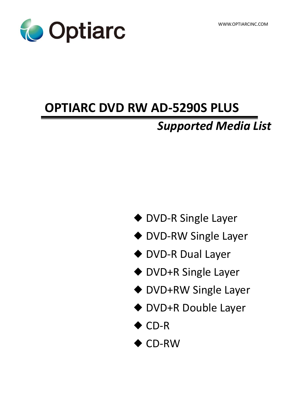

# **OPTIARC DVD RW AD-5290S PLUS**

# *Supported Media List*

- ◆ DVD-R Single Layer
- ◆ DVD-RW Single Layer
- ◆ DVD-R Dual Layer
- ◆ DVD+R Single Layer
- ◆ DVD+RW Single Layer
- ◆ DVD+R Double Layer
- ◆ CD-R
- ◆ CD-RW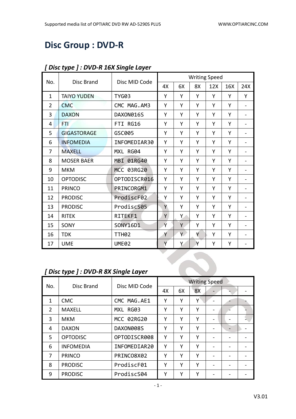# **Disc Group : DVD-R**

|                |                                      |                   |    |    |    | <b>Writing Speed</b> |     |                          |
|----------------|--------------------------------------|-------------------|----|----|----|----------------------|-----|--------------------------|
| No.            | <b>Disc Brand</b>                    | Disc MID Code     | 4X | 6X | 8X | 12X                  | 16X | 24X                      |
| $\mathbf{1}$   | <b>TAIYO YUDEN</b>                   | <b>TYG03</b>      | Y  | Υ  | Y  | Υ                    | Y   | Υ                        |
| $\overline{2}$ | <b>CMC</b>                           | CMC MAG.AM3       | Y  | Y  | Y  | Y                    | Y   |                          |
| 3              | <b>DAXON</b>                         | DAXON016S         | Y  | Υ  | Y  | Υ                    | Y   | -                        |
| 4              | FTI                                  | FTI RG16          | Υ  | Υ  | Y  | Y                    | Υ   | $\overline{\phantom{0}}$ |
| 5              | <b>GIGASTORAGE</b>                   | GSC005            | Y  | Υ  | Y  | Y                    | Y   |                          |
| 6              | <b>INFOMEDIA</b>                     | INFOMEDIAR30      | Y  | Υ  | Y  | Υ                    | Y   |                          |
| 7              | <b>MAXELL</b>                        | MXL RG04          | Y  | Y  | Y  | Υ                    | Υ   | $\overline{a}$           |
| 8              | <b>MOSER BAER</b>                    | MBI 01RG40        | Y  | Υ  | Y  | Υ                    | Y   | $\overline{a}$           |
| 9              | <b>MKM</b>                           | MCC 03RG20        | Y  | Υ  | Y  | Y                    | Y   |                          |
| 10             | <b>OPTODISC</b>                      | OPTODISCR016      | Y  | Υ  | Y  | Υ                    | Y   | $\overline{\phantom{0}}$ |
| 11             | <b>PRINCO</b>                        | PRINCORGM1        | Y  | Y  | Y  | Y                    | Y   |                          |
| 12             | <b>PRODISC</b>                       | ProdiscF02        | Y  | Υ  | Y  | Υ                    | Y   |                          |
| 13             | <b>PRODISC</b>                       | ProdiscS05        | Y  | Υ  | Y  | Υ                    | Y   | $\overline{a}$           |
| 14             | <b>RITEK</b>                         | RITEKF1           | Y  | Ÿ. | Y  | Υ                    | Y   | $\overline{\phantom{0}}$ |
| 15             | SONY                                 | SONY16D1          | Ý  | Y  | Y  | Υ                    | Y   | $\overline{a}$           |
| 16             | <b>TDK</b>                           | TTH <sub>02</sub> | Y  | Y  | Y  | Υ                    | Y   | $\overline{\phantom{0}}$ |
| 17             | <b>UME</b>                           | <b>UME02</b>      | Y  | Y  | Y  | Υ                    | Υ   |                          |
|                |                                      |                   |    |    |    |                      |     |                          |
|                |                                      |                   |    |    |    |                      |     |                          |
|                | [Disc type ] : DVD-R 8X Single Layer |                   |    |    |    |                      |     |                          |

#### *[ Disc type ] : DVD-R 16X Single Layer*

# *[ Disc type ] : DVD-R 8X Single Layer*

| No.            | Disc Brand       | Disc MID Code | <b>Writing Speed</b> |    |    |                          |  |  |
|----------------|------------------|---------------|----------------------|----|----|--------------------------|--|--|
|                |                  |               | 4X                   | 6X | 8X |                          |  |  |
| 1              | <b>CMC</b>       | CMC MAG.AE1   | Υ                    | Υ  | Υ  |                          |  |  |
| $\overline{2}$ | <b>MAXELL</b>    | MXL RG03      | Υ                    | Υ  | Υ  | $\overline{\phantom{0}}$ |  |  |
| 3              | <b>MKM</b>       | MCC 02RG20    | Υ                    | Υ  | Υ  |                          |  |  |
| 4              | <b>DAXON</b>     | DAXON008S     | Υ                    | Υ  | Y  |                          |  |  |
| 5              | <b>OPTODISC</b>  | OPTODISCR008  | Υ                    | γ  | Υ  |                          |  |  |
| 6              | <b>INFOMEDIA</b> | INFOMEDIAR20  | Υ                    | Υ  | Υ  |                          |  |  |
| 7              | <b>PRINCO</b>    | PRINCO8X02    | Υ                    | Υ  | Y  |                          |  |  |
| 8              | <b>PRODISC</b>   | ProdiscF01    | Υ                    | γ  | Υ  |                          |  |  |
| 9              | <b>PRODISC</b>   | ProdiscS04    | Υ                    | Υ  | Υ  |                          |  |  |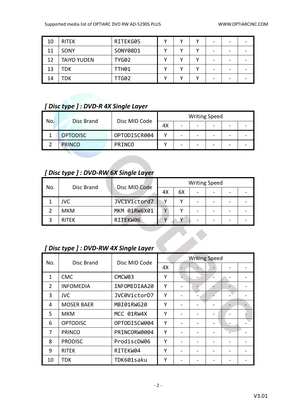| 10 | <b>RITEK</b>       | RITEKG05     | v |  | - |  |
|----|--------------------|--------------|---|--|---|--|
| 11 | SONY               | SONY08D1     |   |  | - |  |
| 12 | <b>TAIYO YUDEN</b> | <b>TYG02</b> |   |  | - |  |
| 13 | TDK                | <b>TTH01</b> |   |  | - |  |
| 14 | TDK                | TTG02        |   |  | - |  |

#### *[ Disc type ] : DVD-R 4X Single Layer*

| No. | Disc Brand      |               |    |   | <b>Writing Speed</b> |   |  |
|-----|-----------------|---------------|----|---|----------------------|---|--|
|     |                 | Disc MID Code | 4X | - |                      | - |  |
|     | <b>OPTODISC</b> | OPTODISCR004  |    |   |                      | - |  |
|     | <b>PRINCO</b>   | <b>PRINCO</b> |    |   |                      | - |  |

# *[ Disc type ] : DVD-RW 6X Single Layer*

| No. |              | Disc MID Code |    |    | <b>Writing Speed</b> |  |
|-----|--------------|---------------|----|----|----------------------|--|
|     | Disc Brand   |               | 4Х | 6Х |                      |  |
|     | JVC          | JVC1Victord7  |    |    |                      |  |
|     | <b>MKM</b>   | MKM 01RW6X01  |    |    |                      |  |
|     | <b>RITEK</b> | RITEKW06      |    |    |                      |  |

**CONSTRUCTION** 

### *[ Disc type ] : DVD-RW 4X Single Layer*

| No. | Disc Brand        | Disc MID Code | <b>Writing Speed</b> |  |  |  |  |  |
|-----|-------------------|---------------|----------------------|--|--|--|--|--|
|     |                   |               | 4X                   |  |  |  |  |  |
| 1   | <b>CMC</b>        | CMCW03        | Υ                    |  |  |  |  |  |
| 2   | <b>INFOMEDIA</b>  | INFOMEDIAA20  | Υ                    |  |  |  |  |  |
| 3   | <b>JVC</b>        | JVC0VictorD7  | Υ                    |  |  |  |  |  |
| 4   | <b>MOSER BAER</b> | MBI01RWG20    | Y                    |  |  |  |  |  |
| 5   | <b>MKM</b>        | MCC 01RW4X    | Y                    |  |  |  |  |  |
| 6   | <b>OPTODISC</b>   | OPTODISCW004  | Υ                    |  |  |  |  |  |
| 7   | <b>PRINCO</b>     | PRINCORW0004  | Υ                    |  |  |  |  |  |
| 8   | <b>PRODISC</b>    | ProdiscDW06   | Υ                    |  |  |  |  |  |
| 9   | <b>RITEK</b>      | RITEKW04      | Υ                    |  |  |  |  |  |
| 10  | <b>TDK</b>        | TDK601saku    | Υ                    |  |  |  |  |  |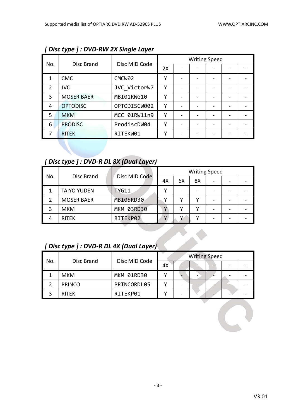|                |                   |                    |    | <b>Writing Speed</b> |  |  |
|----------------|-------------------|--------------------|----|----------------------|--|--|
| No.            | Disc Brand        | Disc MID Code      | 2X |                      |  |  |
| 1              | <b>CMC</b>        | CMCW <sub>02</sub> | γ  |                      |  |  |
| $\overline{2}$ | <b>JVC</b>        | JVC VictorW7       | γ  |                      |  |  |
| 3              | <b>MOSER BAER</b> | MBI01RWG10         | γ  |                      |  |  |
| 4              | <b>OPTODISC</b>   | OPTODISCW002       | γ  |                      |  |  |
| 5              | <b>MKM</b>        | MCC 01RW11n9       | γ  |                      |  |  |
| 6              | <b>PRODISC</b>    | ProdiscDW04        | γ  |                      |  |  |
|                | <b>RITEK</b>      | RITEKW01           | γ  |                      |  |  |

*[ Disc type ] : DVD-RW 2X Single Layer*

### *[ Disc type ] : DVD-R DL 8X (Dual Layer)*

| No. | Disc Brand         | Disc MID Code |    |    |    | <b>Writing Speed</b> |  |
|-----|--------------------|---------------|----|----|----|----------------------|--|
|     |                    |               | 4X | 6X | 8X | $\qquad \qquad$      |  |
|     | <b>TAIYO YUDEN</b> | <b>TYG11</b>  |    |    |    |                      |  |
|     | <b>MOSER BAER</b>  | MBI05RD30     |    |    |    | -                    |  |
|     | <b>MKM</b>         | MKM 03RD30    | ν  |    |    | -                    |  |
|     | <b>RITEK</b>       | RITEKP02      |    | v  |    | -                    |  |

# *[ Disc type ] : DVD-R DL 4X (Dual Layer)*

| No. |               | Disc MID Code |    | <b>Writing Speed</b> |  |  |
|-----|---------------|---------------|----|----------------------|--|--|
|     | Disc Brand    |               | 4X |                      |  |  |
|     | <b>MKM</b>    | MKM 01RD30    |    |                      |  |  |
|     | <b>PRINCO</b> | PRINCORDL05   |    |                      |  |  |
|     | <b>RITEK</b>  | RITEKP01      |    |                      |  |  |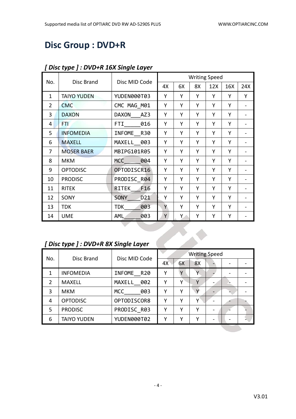# **Disc Group : DVD+R**

|                |                    |                                |    |    |    | <b>Writing Speed</b> |     |     |
|----------------|--------------------|--------------------------------|----|----|----|----------------------|-----|-----|
| No.            | Disc Brand         | Disc MID Code                  | 4X | 6X | 8X | 12X                  | 16X | 24X |
| $\mathbf{1}$   | <b>TAIYO YUDEN</b> | YUDEN000T03                    | Y  | Y  | Y  | Y                    | Y   | Y   |
| $\overline{2}$ | <b>CMC</b>         | CMC MAG M01                    | Y  | Y  | Υ  | Υ                    | Y   |     |
| 3              | <b>DAXON</b>       | DAXON<br>AZ3                   | Y  | Y  | Υ  | Υ                    | Y   |     |
| 4              | FTI                | FTI.<br>016                    | Y  | Y  | Y  | Υ                    | Y   |     |
| 5              | <b>INFOMEDIA</b>   | INFOME R30                     | Y  | Υ  | Y  | Y                    | Y   |     |
| 6              | <b>MAXELL</b>      | MAXELL 003                     | Y  | Y  | Υ  | Υ                    | Y   |     |
| 7              | <b>MOSER BAER</b>  | MBIPG101R05                    | Y  | Y  | Y  | Y                    | Y   |     |
| 8              | <b>MKM</b>         | 004<br>MCC                     | Y  | Y  | Y  | Υ                    | Y   |     |
| 9              | <b>OPTODISC</b>    | OPTODISCR16                    | Υ  | Υ  | Υ  | Υ                    | Υ   |     |
| 10             | <b>PRODISC</b>     | PRODISC R04                    | Y  | Y  | Y  | Y                    | Y   |     |
| 11             | <b>RITEK</b>       | F16<br>RITEK                   | Y  | Y  | Y  | Υ                    | Y   |     |
| 12             | SONY               | D <sub>21</sub><br><b>SONY</b> | Υ  | Y  | Υ  | Υ                    | Y   |     |
| 13             | <b>TDK</b>         | <b>TDK</b><br>003              | Y  | Y  | Υ  | Υ                    | Y   |     |
| 14             | <b>UME</b>         | 003<br><b>AML</b>              | Υ  | Y. | Υ  | Υ                    | Υ   |     |

#### *[ Disc type ] : DVD+R 16X Single Layer*

# *[ Disc type ] : DVD+R 8X Single Layer*

|               | [Disc type ]: DVD+R 8X Single Layer |                      |    |    |                      |  |  |  |  |  |
|---------------|-------------------------------------|----------------------|----|----|----------------------|--|--|--|--|--|
| No.           | Disc Brand                          | Disc MID Code        |    |    | <b>Writing Speed</b> |  |  |  |  |  |
|               |                                     |                      | 4X | 6X | 8X                   |  |  |  |  |  |
| 1             | <b>INFOMEDIA</b>                    | INFOME<br><b>R20</b> | Υ  | Y  |                      |  |  |  |  |  |
| $\mathcal{P}$ | <b>MAXELL</b>                       | MAXELL 002           | Y  | γ  | Y                    |  |  |  |  |  |
| 3             | <b>MKM</b>                          | <b>MCC</b><br>003    | Υ  | γ  | Y                    |  |  |  |  |  |
| 4             | <b>OPTODISC</b>                     | OPTODISCOR8          | Y  | Υ  | Υ                    |  |  |  |  |  |
| 5.            | <b>PRODISC</b>                      | PRODISC R03          | Y  | Υ  | Υ                    |  |  |  |  |  |
| 6             | <b>TAIYO YUDEN</b>                  | YUDEN000T02          | Υ  | Υ  | Υ                    |  |  |  |  |  |
|               |                                     |                      |    |    |                      |  |  |  |  |  |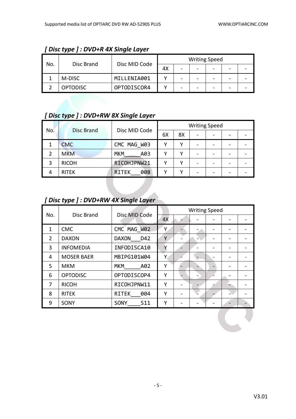| No. |                 |               |    |   | <b>Writing Speed</b> |  |  |
|-----|-----------------|---------------|----|---|----------------------|--|--|
|     | Disc Brand      | Disc MID Code | 4X | - |                      |  |  |
|     | M-DISC          | MILLENIA001   |    |   |                      |  |  |
|     | <b>OPTODISC</b> | OPTODISCOR4   |    |   |                      |  |  |

#### *[ Disc type ] : DVD+R 4X Single Layer*

# *[ Disc type ] : DVD+RW 8X Single Layer*

| No. | <b>Disc Brand</b> | Disc MID Code     | <b>Writing Speed</b> |    |                          |   |  |  |  |
|-----|-------------------|-------------------|----------------------|----|--------------------------|---|--|--|--|
|     |                   |                   | 6X                   | 8X | $\overline{\phantom{0}}$ | - |  |  |  |
|     | <b>CMC</b>        | CMC MAG W03       |                      |    |                          |   |  |  |  |
|     | <b>MKM</b>        | <b>MKM</b><br>A03 |                      |    | -                        |   |  |  |  |
| 3   | <b>RICOH</b>      | RICOHJPNW21       |                      |    |                          |   |  |  |  |
| 4   | <b>RITEK</b>      | 008<br><b>TEK</b> |                      |    | -                        |   |  |  |  |

# *[ Disc type ] : DVD+RW 4X Single Layer*

| No. | Disc Brand        | Disc MID Code           |    | <b>Writing Speed</b> |  |  |
|-----|-------------------|-------------------------|----|----------------------|--|--|
|     |                   |                         | 4X |                      |  |  |
| 1   | <b>CMC</b>        | CMC MAG W02             | Υ  |                      |  |  |
| 2   | <b>DAXON</b>      | <b>DAXON</b><br>D42     | Y  |                      |  |  |
| 3   | <b>INFOMEDIA</b>  | INFODISCA10             | Υ  |                      |  |  |
| 4   | <b>MOSER BAER</b> | MBIPG101W04             | Υ  |                      |  |  |
| 5   | <b>MKM</b>        | <b>MKM</b><br>A02       | Υ  |                      |  |  |
| 6   | <b>OPTODISC</b>   | OPTODISCOP4             | Υ  |                      |  |  |
| 7   | <b>RICOH</b>      | RICOHJPNW11             | Y  |                      |  |  |
| 8   | <b>RITEK</b>      | <b>RITEK</b><br>004     | Υ  |                      |  |  |
| 9   | SONY              | S <sub>11</sub><br>SONY | Υ  |                      |  |  |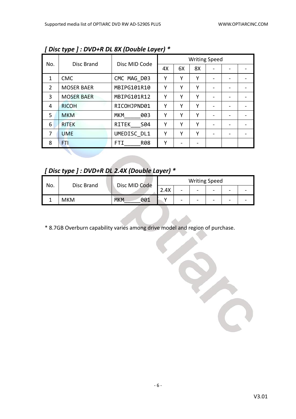|                |                   |                     |    |    | <b>Writing Speed</b> |                 |  |
|----------------|-------------------|---------------------|----|----|----------------------|-----------------|--|
| No.            | Disc Brand        | Disc MID Code       | 4X | 6X | 8X                   |                 |  |
| 1              | <b>CMC</b>        | CMC MAG D03         | Υ  | Υ  | Υ                    |                 |  |
| $\overline{2}$ | <b>MOSER BAER</b> | MBIPG101R10         | Υ  | Υ  | Υ                    |                 |  |
| 3              | <b>MOSER BAER</b> | MBIPG101R12         | Υ  | Υ  | γ                    |                 |  |
| 4              | <b>RICOH</b>      | RICOHJPND01         | Υ  | Υ  | γ                    |                 |  |
| 5              | <b>MKM</b>        | <b>MKM</b><br>003   | Υ  | Υ  | γ                    | $\qquad \qquad$ |  |
| 6              | <b>RITEK</b>      | <b>RITEK</b><br>S04 | Υ  | Υ  | Υ                    |                 |  |
| 7              | <b>UME</b>        | UMEDISC DL1         | Υ  | Υ  | γ                    |                 |  |
| 8              | FTI               | <b>R08</b><br>FTI   | Υ  |    |                      |                 |  |

*[ Disc type ] : DVD+R DL 8X (Double Layer) \**

*[ Disc type ] : DVD+R DL 2.4X (Double Layer) \**

| No. | Disc Brand | Disc MID Code     | <b>Writing Speed</b> |                |                          |                          |   |  |  |
|-----|------------|-------------------|----------------------|----------------|--------------------------|--------------------------|---|--|--|
|     |            |                   | 2.4X                 | $\sim$         | $\overline{\phantom{a}}$ | $\overline{\phantom{a}}$ | - |  |  |
|     | <b>MKM</b> | 001<br><b>MKM</b> |                      | $\blacksquare$ | $\overline{\phantom{a}}$ | $\qquad \qquad$          | - |  |  |

\* 8.7GB Overburn capability varies among drive model and region of purchase.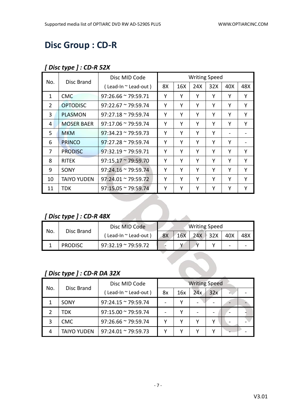# **Disc Group : CD-R**

#### *[ Disc type ] : CD-R 52X*

| No.            | Disc Brand                | Disc MID Code               |    |     |     | <b>Writing Speed</b> |     |     |
|----------------|---------------------------|-----------------------------|----|-----|-----|----------------------|-----|-----|
|                |                           | (Lead-In ~ Lead-out)        | 8X | 16X | 24X | 32X                  | 40X | 48X |
| $\mathbf{1}$   | <b>CMC</b>                | $97:26.66 \approx 79:59.71$ | Y  | Y   | Y   | Υ                    | Υ   | Y   |
| $\overline{2}$ | <b>OPTODISC</b>           | $97:22.67 \approx 79:59.74$ | Y  | Υ   | Υ   | Υ                    | Y   | Y   |
| 3              | <b>PLASMON</b>            | $97:27.18 \approx 79:59.74$ | Υ  | Υ   | Y   | Υ                    | Υ   | Y   |
| 4              | <b>MOSER BAER</b>         | $97:17.06 \approx 79:59.74$ | Υ  | Y   | Y   | Y                    | Υ   | Y   |
| 5.             | <b>MKM</b>                | $97:34.23 \approx 79:59.73$ | Y  | Υ   | Υ   | Y                    |     |     |
| 6              | <b>PRINCO</b>             | $97:27.28 \approx 79:59.74$ | Υ  | Υ   | Y   | Y                    | Υ   |     |
| 7              | <b>PRODISC</b>            | $97:32.19 \approx 79:59.71$ | Υ  | Y   | Υ   | Υ                    | Υ   | Y   |
| 8              | <b>RITEK</b>              | $97:15.17 \approx 79:59.70$ | Y  | Υ   | Υ   | Υ                    | Υ   | Y   |
| 9              | SONY                      | $97:24.16 \approx 79:59.74$ | Υ  | Υ   | Υ   | Υ                    | Υ   | Y   |
| 10             | <b>TAIYO YUDEN</b>        | $97:24.01 \approx 79:59.72$ | Υ  | Y   | Y   | Y                    | Y   | Y   |
| 11             | <b>TDK</b>                | 97:15.05 ~ 79:59.74         | Y  | Υ   | Υ   | Υ                    | Υ   | Y   |
|                |                           |                             |    |     |     |                      |     |     |
|                |                           |                             |    |     |     |                      |     |     |
|                | [Disc type ] : $CD-R$ 48X |                             |    |     |     |                      |     |     |

### *[ Disc type ] : CD-R 48X*

| No. | Disc Brand     | Disc MID Code               | <b>Writing Speed</b> |     |     |                 |                          |     |  |
|-----|----------------|-----------------------------|----------------------|-----|-----|-----------------|--------------------------|-----|--|
|     |                | ( Lead-In ~ Lead-out )      | 8X                   | 16X | 24X | $\parallel$ 32X | 40X                      | 48X |  |
|     | <b>PRODISC</b> | $97:32.19 \approx 79:59.72$ |                      |     |     |                 | $\overline{\phantom{0}}$ |     |  |

#### *[ Disc type ] : CD-R DA 32X*

| No. | Disc Brand         | Disc MID Code               | <b>Writing Speed</b> |     |     |                          |  |
|-----|--------------------|-----------------------------|----------------------|-----|-----|--------------------------|--|
|     |                    | (Lead-In ~ Lead-out)        | 8x                   | 16x | 24x | 32x                      |  |
|     | SONY               | $97:24.15 \approx 79:59.74$ |                      |     |     |                          |  |
|     | TDK                | $97:15.00 \approx 79:59.74$ |                      |     |     | $\overline{\phantom{a}}$ |  |
| 3   | <b>CMC</b>         | $97:26.66 \approx 79:59.74$ |                      |     |     | v                        |  |
| 4   | <b>TAIYO YUDEN</b> | $97:24.01 \approx 79:59.73$ |                      |     |     | v                        |  |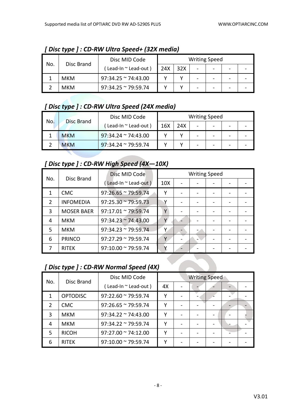|     | Disc Brand | Disc MID Code               |     |     | <b>Writing Speed</b> |   |  |
|-----|------------|-----------------------------|-----|-----|----------------------|---|--|
| No. |            | Lead-In ~ Lead-out)         | 24X | 32X |                      |   |  |
|     | <b>MKM</b> | $97:34.25$ ~ 74:43.00       |     |     |                      |   |  |
|     | мкм        | $97:34.25 \approx 79:59.74$ |     |     |                      | - |  |

*[ Disc type ] : CD-RW Ultra Speed+ (32X media)*

#### *[ Disc type ] : CD-RW Ultra Speed (24X media)*

| No. | <b>Disc Brand</b> | Disc MID Code               |     |     |                          | <b>Writing Speed</b>     |  |
|-----|-------------------|-----------------------------|-----|-----|--------------------------|--------------------------|--|
|     |                   | Lead-In ~ Lead-out)         | 16X | 24X |                          | $\overline{\phantom{0}}$ |  |
|     | <b>MKM</b>        | $97:34.24 \approx 74:43.00$ |     |     | $\overline{\phantom{0}}$ | -                        |  |
|     | <b>MKM</b>        | $97:34.24 \approx 79:59.74$ |     |     |                          | -                        |  |

### *[ Disc type ] : CD-RW High Speed (4X—10X)*

|     |                   | Disc MID Code               |                 | <b>Writing Speed</b> |  |  |
|-----|-------------------|-----------------------------|-----------------|----------------------|--|--|
| No. | Disc Brand        | (Lead-In ~ Lead-out)        | 10 <sub>X</sub> |                      |  |  |
|     | <b>CMC</b>        | $97:26.65 \approx 79:59.74$ | Υ               |                      |  |  |
| 2   | <b>INFOMEDIA</b>  | $97:25.30 \approx 79:59.73$ |                 |                      |  |  |
| 3   | <b>MOSER BAER</b> | $97:17.01 \approx 79:59.74$ | γ               |                      |  |  |
| 4   | <b>MKM</b>        | $97:34.23 \approx 74:43.00$ |                 |                      |  |  |
| 5   | <b>MKM</b>        | $97:34.23 \approx 79:59.74$ | ٧               |                      |  |  |
| 6   | <b>PRINCO</b>     | $97:27.29 \approx 79:59.74$ | v               |                      |  |  |
|     | <b>RITEK</b>      | $97:10.00 \approx 79:59.74$ |                 |                      |  |  |

# *[ Disc type ] : CD-RW Normal Speed (4X)*

| No.           | Disc Brand      | Disc MID Code               |    | <b>Writing Speed</b> |                 |  |
|---------------|-----------------|-----------------------------|----|----------------------|-----------------|--|
|               |                 | (Lead-In ~ Lead-out)        | 4X |                      |                 |  |
| 1             | <b>OPTODISC</b> | $97:22.60 \approx 79:59.74$ | v  |                      |                 |  |
| $\mathcal{P}$ | <b>CMC</b>      | $97:26.65 \approx 79:59.74$ | v  |                      |                 |  |
| 3             | <b>MKM</b>      | $97:34.22 \approx 74:43.00$ | γ  |                      | $\qquad \qquad$ |  |
| 4             | <b>MKM</b>      | $97:34.22 \approx 79:59.74$ | γ  |                      |                 |  |
| 5             | <b>RICOH</b>    | $97:27.00 \approx 74:12.00$ | γ  |                      |                 |  |
| 6             | <b>RITEK</b>    | $97:10.00 \approx 79:59.74$ | v  |                      |                 |  |